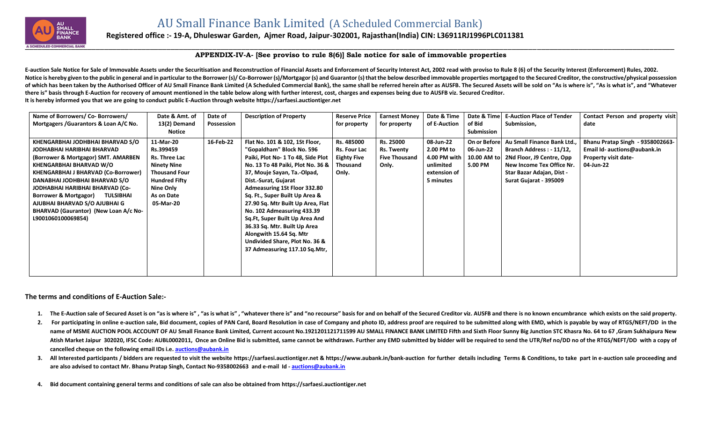

## **Registered office :- 19-A, Dhuleswar Garden, Ajmer Road, Jaipur-302001, Rajasthan(India) CIN: L36911RJ1996PLC011381**

## **APPENDIX-IV-A- [See proviso to rule 8(6)] Sale notice for sale of immovable properties**

E-auction Sale Notice for Sale of Immovable Assets under the Securitisation and Reconstruction of Financial Assets and Enforcement of Security Interest Act, 2002 read with proviso to Rule 8 (6) of the Security Interest (En Notice is hereby given to the public in general and in particular to the Borrower (s)/Co-Borrower (s)/Mortgagor (s) and Guarantor (s) that the below described immovable properties mortgaged to the Secured Creditor, the con of which has been taken by the Authorised Officer of AU Small Finance Bank Limited {A Scheduled Commercial Bank}, the same shall be referred herein after as AUSFB. The Secured Assets will be sold on "As is where is", "As i **there is" basis through E-Auction for recovery of amount mentioned in the table below along with further interest, cost, charges and expenses being due to AUSFB viz. Secured Creditor. It is hereby informed you that we are going to conduct public E-Auction through website [https://sarfaesi.auctiontiger.net](https://sarfaesi.auctiontiger.net/)** 

| Name of Borrowers/ Co- Borrowers/                                                                                                                                                                                                                                                                                                                                                                          | Date & Amt. of                                                                                                                                        | Date of    | <b>Description of Property</b>                                                                                                                                                                                                                                                                                                                                                                                                                                                                            | <b>Reserve Price</b>                                                         | <b>Earnest Money</b>                                            | Date & Time                                                                         | Date & Time                                         | <b>E-Auction Place of Tender</b>                                                                                                                                       | Contact Person and property visit                                                                     |
|------------------------------------------------------------------------------------------------------------------------------------------------------------------------------------------------------------------------------------------------------------------------------------------------------------------------------------------------------------------------------------------------------------|-------------------------------------------------------------------------------------------------------------------------------------------------------|------------|-----------------------------------------------------------------------------------------------------------------------------------------------------------------------------------------------------------------------------------------------------------------------------------------------------------------------------------------------------------------------------------------------------------------------------------------------------------------------------------------------------------|------------------------------------------------------------------------------|-----------------------------------------------------------------|-------------------------------------------------------------------------------------|-----------------------------------------------------|------------------------------------------------------------------------------------------------------------------------------------------------------------------------|-------------------------------------------------------------------------------------------------------|
| Mortgagers / Guarantors & Loan A/C No.                                                                                                                                                                                                                                                                                                                                                                     | 13(2) Demand                                                                                                                                          | Possession |                                                                                                                                                                                                                                                                                                                                                                                                                                                                                                           | for property                                                                 | for property                                                    | of E-Auction                                                                        | of Bid                                              | Submission,                                                                                                                                                            | date                                                                                                  |
|                                                                                                                                                                                                                                                                                                                                                                                                            | Notice                                                                                                                                                |            |                                                                                                                                                                                                                                                                                                                                                                                                                                                                                                           |                                                                              |                                                                 |                                                                                     | Submission                                          |                                                                                                                                                                        |                                                                                                       |
| KHENGARBHAI JODHBHAI BHARVAD S/O<br>JODHABHAI HARIBHAI BHARVAD<br>(Borrower & Mortgagor) SMT. AMARBEN<br><b>KHENGARBHAI BHARVAD W/O</b><br><b>KHENGARBHAI J BHARVAD (Co-Borrower)</b><br>DANABHAI JODHBHAI BHARVAD S/O<br>JODHABHAI HARIBHAI BHARVAD (Co-<br><b>Borrower &amp; Mortgagor)</b><br>TULSIBHAI<br>AJUBHAI BHARVAD S/O AJUBHAI G<br>BHARVAD (Gaurantor) (New Loan A/c No-<br>L9001060100069854) | 11-Mar-20<br>Rs.399459<br>Rs. Three Lac<br><b>Ninety Nine</b><br><b>Thousand Four</b><br><b>Hundred Fifty</b><br>Nine Only<br>As on Date<br>05-Mar-20 | 16-Feb-22  | Flat No. 101 & 102, 1St Floor,<br>"Gopaldham" Block No. 596<br>Paiki, Plot No- 1 To 48, Side Plot<br>No. 13 To 48 Paiki, Plot No. 36 &<br>37, Mouje Sayan, Ta.-Olpad,<br>Dist.-Surat, Gujarat<br><b>Admeasuring 1St Floor 332.80</b><br>Sq. Ft., Super Built Up Area &<br>27.90 Sq. Mtr Built Up Area, Flat<br>No. 102 Admeasuring 433.39<br>Sq.Ft, Super Built Up Area And<br>36.33 Sq. Mtr. Built Up Area<br>Alongwith 15.64 Sq. Mtr<br>Undivided Share, Plot No. 36 &<br>37 Admeasuring 117.10 Sq.Mtr, | Rs. 485000<br><b>Rs. Four Lac</b><br><b>Eighty Five</b><br>Thousand<br>Only. | Rs. 25000<br><b>Rs. Twenty</b><br><b>Five Thousand</b><br>Only. | 08-Jun-22<br>2.00 PM to<br>4.00 PM with  <br>unlimited<br>extension of<br>5 minutes | On or Before<br>06-Jun-22<br>10.00 AM to<br>5.00 PM | Au Small Finance Bank Ltd<br>Branch Address: - 11/12,<br>2Nd Floor, J9 Centre, Opp<br>New Income Tex Office Nr.<br>Star Bazar Adajan, Dist -<br>Surat Gujarat - 395009 | Bhanu Pratap Singh - 9358002663-<br>Email Id- auctions@aubank.in<br>Property visit date-<br>04-Jun-22 |
|                                                                                                                                                                                                                                                                                                                                                                                                            |                                                                                                                                                       |            |                                                                                                                                                                                                                                                                                                                                                                                                                                                                                                           |                                                                              |                                                                 |                                                                                     |                                                     |                                                                                                                                                                        |                                                                                                       |

## **The terms and conditions of E-Auction Sale:-**

- 1. The E-Auction sale of Secured Asset is on "as is where is", "as is what is", "whatever there is" and "no recourse" basis for and on behalf of the Secured Creditor viz. AUSFB and there is no known encumbrance which exist
- 2. For participating in online e-auction sale, Bid document, copies of PAN Card, Board Resolution in case of Company and photo ID, address proof are required to be submitted along with EMD, which is payable by way of RTGS/ name of MSME AUCTION POOL ACCOUNT OF AU Small Finance Bank Limited, Current account No.1921201121711599 AU SMALL FINANCE BANK LIMITED Fifth and Sixth Floor Sunny Big Junction STC Khasra No. 64 to 67, Gram Sukhaipura New Atish Market Jaipur 302020, IFSC Code: AUBL0002011, Once an Online Bid is submitted, same cannot be withdrawn. Further any EMD submitted by bidder will be required to send the UTR/Ref no/DD no of the RTGS/NEFT/DD with a co **cancelled cheque on the following email IDs i.e. [auctions@aubank.in](mailto:auctions@aubank.in)**
- 3. All Interested participants / bidders are requested to visit the website [https://sarfaesi.auctiontiger.net](https://sarfaesi.auctiontiger.net/) & https://www.aubank.in/bank-auction for further details including Terms & Conditions, to take part in e-auction **are also advised to contact Mr. Bhanu Pratap Singh, Contact No-9358002663 and e-mail Id - [auctions@aubank.in](mailto:auctions@aubank.in)**
- **4. Bid document containing general terms and conditions of sale can also be obtained fro[m https://sarfaesi.auctiontiger.net](https://edelweissarc.auctiontiger.net/)**